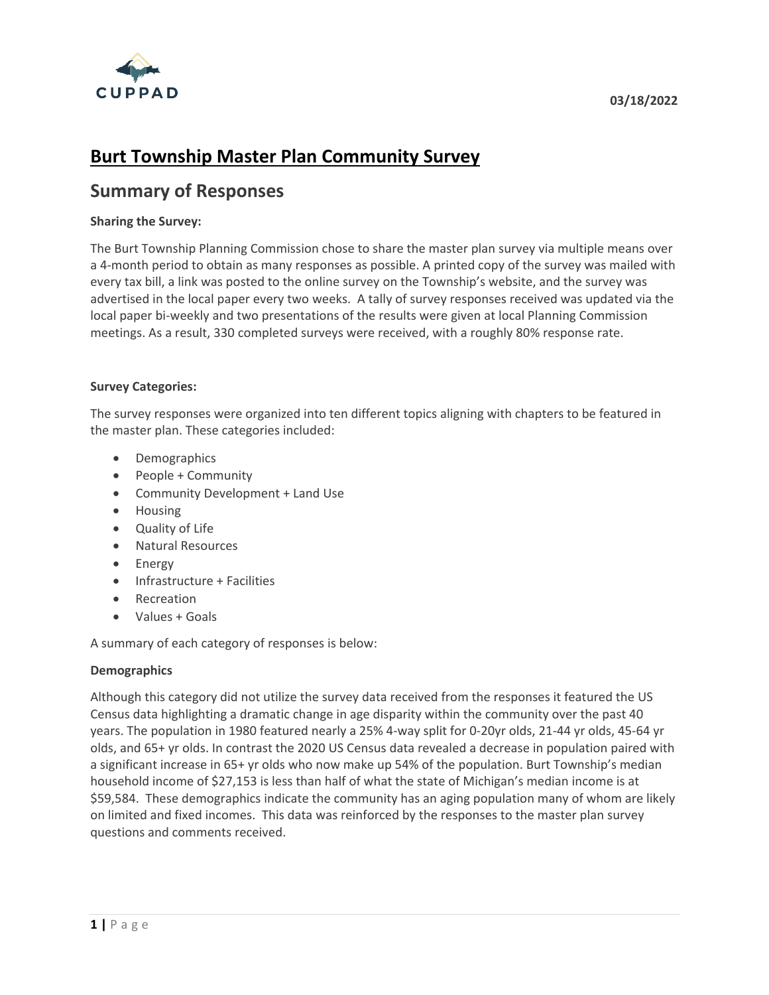

# **Burt Township Master Plan Community Survey**

# **Summary of Responses**

# **Sharing the Survey:**

The Burt Township Planning Commission chose to share the master plan survey via multiple means over a 4-month period to obtain as many responses as possible. A printed copy of the survey was mailed with every tax bill, a link was posted to the online survey on the Township's website, and the survey was advertised in the local paper every two weeks. A tally of survey responses received was updated via the local paper bi-weekly and two presentations of the results were given at local Planning Commission meetings. As a result, 330 completed surveys were received, with a roughly 80% response rate.

#### **Survey Categories:**

The survey responses were organized into ten different topics aligning with chapters to be featured in the master plan. These categories included:

- Demographics
- People + Community
- Community Development + Land Use
- Housing
- Quality of Life
- Natural Resources
- Energy
- Infrastructure + Facilities
- Recreation
- Values + Goals

A summary of each category of responses is below:

# **Demographics**

Although this category did not utilize the survey data received from the responses it featured the US Census data highlighting a dramatic change in age disparity within the community over the past 40 years. The population in 1980 featured nearly a 25% 4-way split for 0-20yr olds, 21-44 yr olds, 45-64 yr olds, and 65+ yr olds. In contrast the 2020 US Census data revealed a decrease in population paired with a significant increase in 65+ yr olds who now make up 54% of the population. Burt Township's median household income of \$27,153 is less than half of what the state of Michigan's median income is at \$59,584. These demographics indicate the community has an aging population many of whom are likely on limited and fixed incomes. This data was reinforced by the responses to the master plan survey questions and comments received.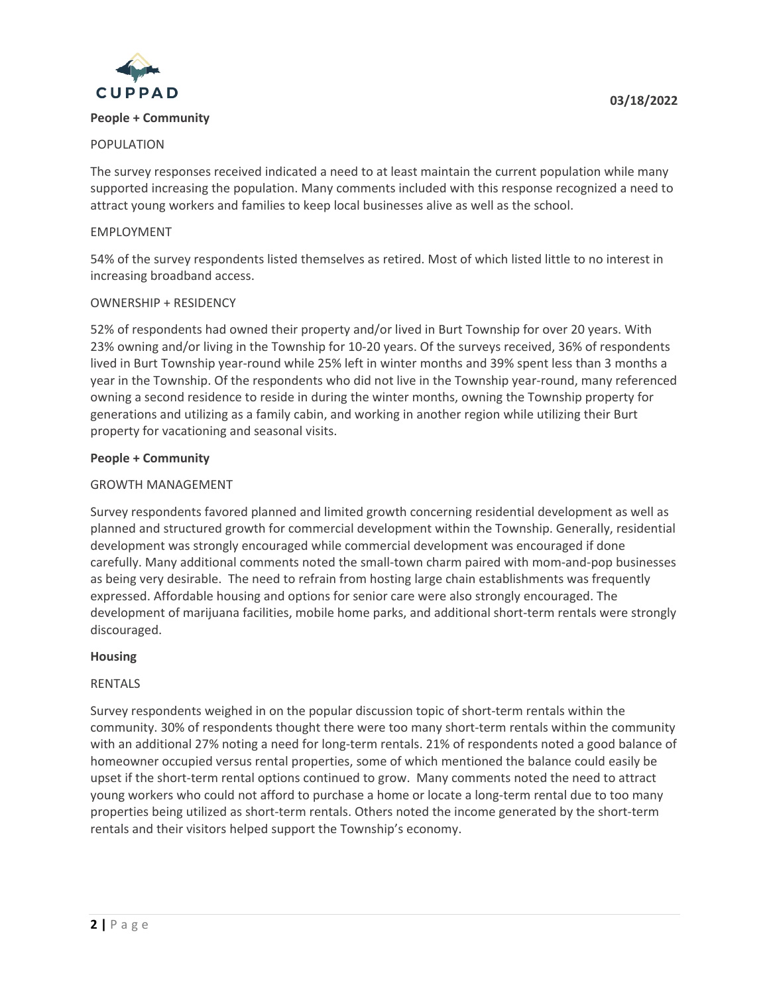

#### **People + Community**

# POPULATION

The survey responses received indicated a need to at least maintain the current population while many supported increasing the population. Many comments included with this response recognized a need to attract young workers and families to keep local businesses alive as well as the school.

#### EMPLOYMENT

54% of the survey respondents listed themselves as retired. Most of which listed little to no interest in increasing broadband access.

#### OWNERSHIP + RESIDENCY

52% of respondents had owned their property and/or lived in Burt Township for over 20 years. With 23% owning and/or living in the Township for 10-20 years. Of the surveys received, 36% of respondents lived in Burt Township year-round while 25% left in winter months and 39% spent less than 3 months a year in the Township. Of the respondents who did not live in the Township year-round, many referenced owning a second residence to reside in during the winter months, owning the Township property for generations and utilizing as a family cabin, and working in another region while utilizing their Burt property for vacationing and seasonal visits.

#### **People + Community**

#### GROWTH MANAGEMENT

Survey respondents favored planned and limited growth concerning residential development as well as planned and structured growth for commercial development within the Township. Generally, residential development was strongly encouraged while commercial development was encouraged if done carefully. Many additional comments noted the small-town charm paired with mom-and-pop businesses as being very desirable. The need to refrain from hosting large chain establishments was frequently expressed. Affordable housing and options for senior care were also strongly encouraged. The development of marijuana facilities, mobile home parks, and additional short-term rentals were strongly discouraged.

#### **Housing**

# RENTALS

Survey respondents weighed in on the popular discussion topic of short-term rentals within the community. 30% of respondents thought there were too many short-term rentals within the community with an additional 27% noting a need for long-term rentals. 21% of respondents noted a good balance of homeowner occupied versus rental properties, some of which mentioned the balance could easily be upset if the short-term rental options continued to grow. Many comments noted the need to attract young workers who could not afford to purchase a home or locate a long-term rental due to too many properties being utilized as short-term rentals. Others noted the income generated by the short-term rentals and their visitors helped support the Township's economy.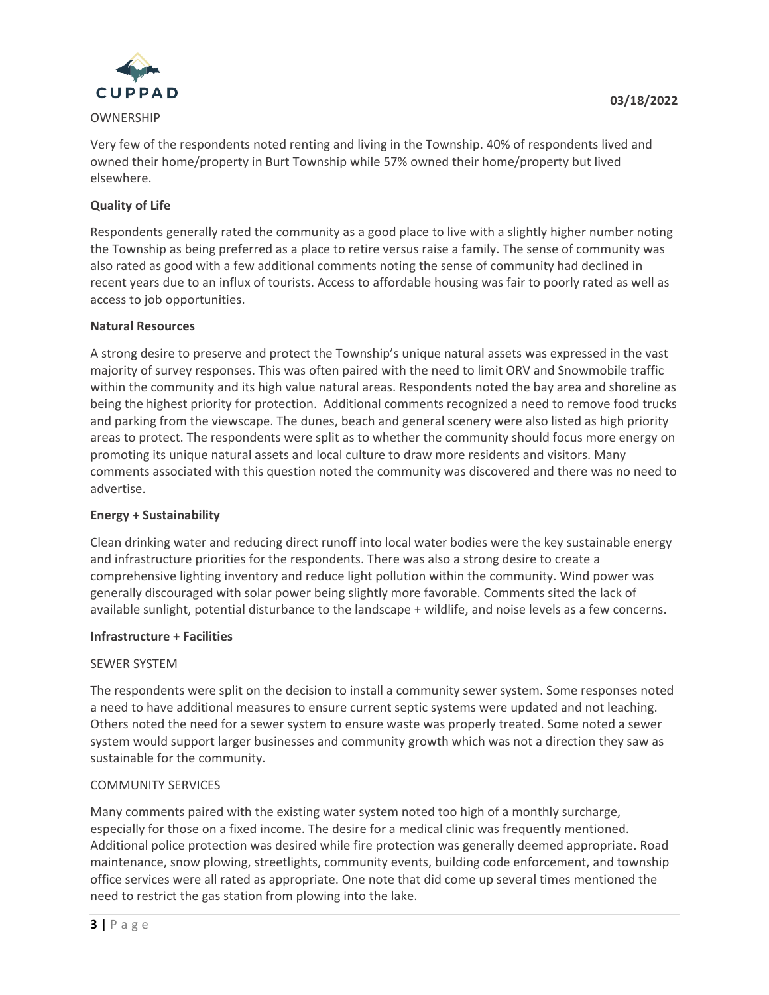

# OWNERSHIP

Very few of the respondents noted renting and living in the Township. 40% of respondents lived and owned their home/property in Burt Township while 57% owned their home/property but lived elsewhere.

# **Quality of Life**

Respondents generally rated the community as a good place to live with a slightly higher number noting the Township as being preferred as a place to retire versus raise a family. The sense of community was also rated as good with a few additional comments noting the sense of community had declined in recent years due to an influx of tourists. Access to affordable housing was fair to poorly rated as well as access to job opportunities.

# **Natural Resources**

A strong desire to preserve and protect the Township's unique natural assets was expressed in the vast majority of survey responses. This was often paired with the need to limit ORV and Snowmobile traffic within the community and its high value natural areas. Respondents noted the bay area and shoreline as being the highest priority for protection. Additional comments recognized a need to remove food trucks and parking from the viewscape. The dunes, beach and general scenery were also listed as high priority areas to protect. The respondents were split as to whether the community should focus more energy on promoting its unique natural assets and local culture to draw more residents and visitors. Many comments associated with this question noted the community was discovered and there was no need to advertise.

# **Energy + Sustainability**

Clean drinking water and reducing direct runoff into local water bodies were the key sustainable energy and infrastructure priorities for the respondents. There was also a strong desire to create a comprehensive lighting inventory and reduce light pollution within the community. Wind power was generally discouraged with solar power being slightly more favorable. Comments sited the lack of available sunlight, potential disturbance to the landscape + wildlife, and noise levels as a few concerns.

# **Infrastructure + Facilities**

# SEWER SYSTEM

The respondents were split on the decision to install a community sewer system. Some responses noted a need to have additional measures to ensure current septic systems were updated and not leaching. Others noted the need for a sewer system to ensure waste was properly treated. Some noted a sewer system would support larger businesses and community growth which was not a direction they saw as sustainable for the community.

# COMMUNITY SERVICES

Many comments paired with the existing water system noted too high of a monthly surcharge, especially for those on a fixed income. The desire for a medical clinic was frequently mentioned. Additional police protection was desired while fire protection was generally deemed appropriate. Road maintenance, snow plowing, streetlights, community events, building code enforcement, and township office services were all rated as appropriate. One note that did come up several times mentioned the need to restrict the gas station from plowing into the lake.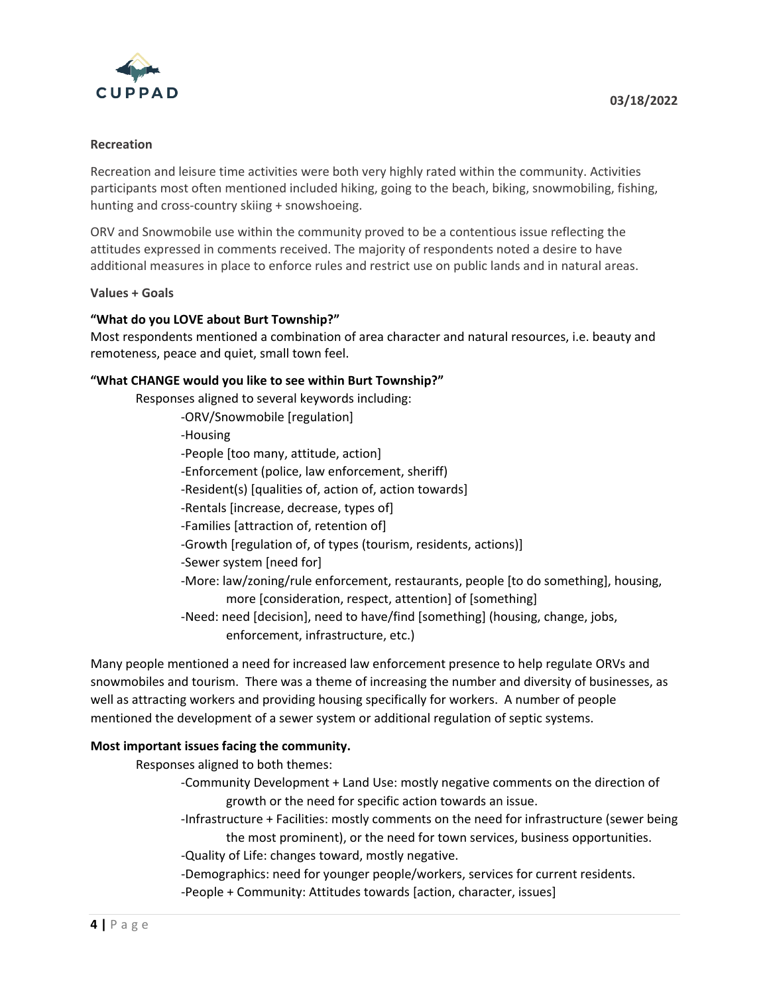

#### **Recreation**

Recreation and leisure time activities were both very highly rated within the community. Activities participants most often mentioned included hiking, going to the beach, biking, snowmobiling, fishing, hunting and cross-country skiing + snowshoeing.

ORV and Snowmobile use within the community proved to be a contentious issue reflecting the attitudes expressed in comments received. The majority of respondents noted a desire to have additional measures in place to enforce rules and restrict use on public lands and in natural areas.

#### **Values + Goals**

# **"What do you LOVE about Burt Township?"**

Most respondents mentioned a combination of area character and natural resources, i.e. beauty and remoteness, peace and quiet, small town feel.

# **"What CHANGE would you like to see within Burt Township?"**

Responses aligned to several keywords including:

- -ORV/Snowmobile [regulation]
- -Housing
- -People [too many, attitude, action]
- -Enforcement (police, law enforcement, sheriff)
- -Resident(s) [qualities of, action of, action towards]
- -Rentals [increase, decrease, types of]
- -Families [attraction of, retention of]
- -Growth [regulation of, of types (tourism, residents, actions)]
- -Sewer system [need for]
- -More: law/zoning/rule enforcement, restaurants, people [to do something], housing, more [consideration, respect, attention] of [something]
- -Need: need [decision], need to have/find [something] (housing, change, jobs, enforcement, infrastructure, etc.)

Many people mentioned a need for increased law enforcement presence to help regulate ORVs and snowmobiles and tourism. There was a theme of increasing the number and diversity of businesses, as well as attracting workers and providing housing specifically for workers. A number of people mentioned the development of a sewer system or additional regulation of septic systems.

# **Most important issues facing the community.**

Responses aligned to both themes:

- -Community Development + Land Use: mostly negative comments on the direction of growth or the need for specific action towards an issue.
- -Infrastructure + Facilities: mostly comments on the need for infrastructure (sewer being the most prominent), or the need for town services, business opportunities.
- -Quality of Life: changes toward, mostly negative.
- -Demographics: need for younger people/workers, services for current residents.
- -People + Community: Attitudes towards [action, character, issues]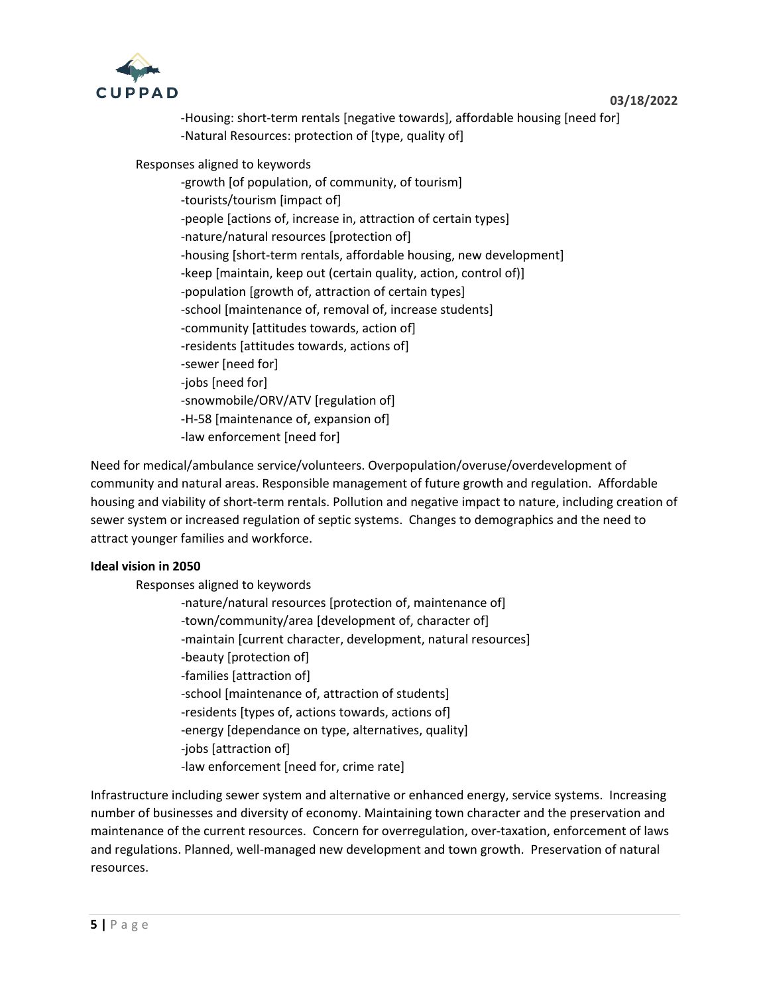

-Housing: short-term rentals [negative towards], affordable housing [need for] -Natural Resources: protection of [type, quality of]

Responses aligned to keywords

-growth [of population, of community, of tourism] -tourists/tourism [impact of] -people [actions of, increase in, attraction of certain types] -nature/natural resources [protection of] -housing [short-term rentals, affordable housing, new development] -keep [maintain, keep out (certain quality, action, control of)] -population [growth of, attraction of certain types] -school [maintenance of, removal of, increase students] -community [attitudes towards, action of] -residents [attitudes towards, actions of] -sewer [need for] -jobs [need for] -snowmobile/ORV/ATV [regulation of] -H-58 [maintenance of, expansion of] -law enforcement [need for]

Need for medical/ambulance service/volunteers. Overpopulation/overuse/overdevelopment of community and natural areas. Responsible management of future growth and regulation. Affordable housing and viability of short-term rentals. Pollution and negative impact to nature, including creation of sewer system or increased regulation of septic systems. Changes to demographics and the need to attract younger families and workforce.

# **Ideal vision in 2050**

Responses aligned to keywords

- -nature/natural resources [protection of, maintenance of]
- -town/community/area [development of, character of]
- -maintain [current character, development, natural resources]
- -beauty [protection of]
- -families [attraction of]
- -school [maintenance of, attraction of students]
- -residents [types of, actions towards, actions of]
- -energy [dependance on type, alternatives, quality]
- -jobs [attraction of]
- -law enforcement [need for, crime rate]

Infrastructure including sewer system and alternative or enhanced energy, service systems. Increasing number of businesses and diversity of economy. Maintaining town character and the preservation and maintenance of the current resources. Concern for overregulation, over-taxation, enforcement of laws and regulations. Planned, well-managed new development and town growth. Preservation of natural resources.